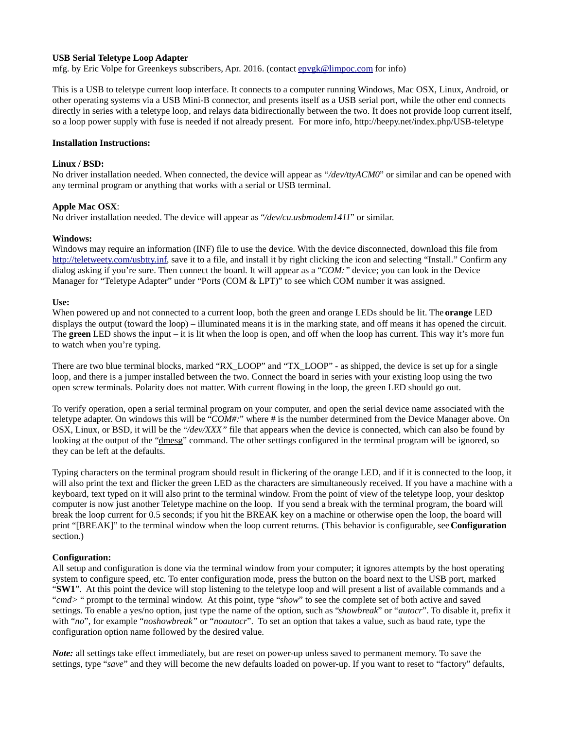# **USB Serial Teletype Loop Adapter**

mfg. by Eric Volpe for Greenkeys subscribers, Apr. 2016. (contact epvgk@limpoc.com for info)

This is a USB to teletype current loop interface. It connects to a computer running Windows, Mac OSX, Linux, Android, or other operating systems via a USB Mini-B connector, and presents itself as a USB serial port, while the other end connects directly in series with a teletype loop, and relays data bidirectionally between the two. It does not provide loop current itself, so a loop power supply with fuse is needed if not already present. For more info, http://heepy.net/index.php/USB-teletype

#### **Installation Instructions:**

#### **Linux / BSD:**

No driver installation needed. When connected, the device will appear as *"/dev/ttyACM0*" or similar and can be opened with any terminal program or anything that works with a serial or USB terminal.

## **Apple Mac OSX**:

No driver installation needed. The device will appear as "*/dev/cu.usbmodem1411*" or similar.

## **Windows:**

Windows may require an information (INF) file to use the device. With the device disconnected, download this file from http://teletweety.com/usbtty.inf, save it to a file, and install it by right clicking the icon and selecting "Install." Confirm any dialog asking if you're sure. Then connect the board. It will appear as a "*COM:"* device; you can look in the Device Manager for "Teletype Adapter" under "Ports (COM & LPT)" to see which COM number it was assigned.

## **Use:**

When powered up and not connected to a current loop, both the green and orange LEDs should be lit. The **orange** LED displays the output (toward the loop) – illuminated means it is in the marking state, and off means it has opened the circuit. The **green** LED shows the input – it is lit when the loop is open, and off when the loop has current. This way it's more fun to watch when you're typing.

There are two blue terminal blocks, marked "RX\_LOOP" and "TX\_LOOP" - as shipped, the device is set up for a single loop, and there is a jumper installed between the two. Connect the board in series with your existing loop using the two open screw terminals. Polarity does not matter. With current flowing in the loop, the green LED should go out.

To verify operation, open a serial terminal program on your computer, and open the serial device name associated with the teletype adapter. On windows this will be "*COM#:*" where # is the number determined from the Device Manager above. On OSX, Linux, or BSD, it will be the "*/dev/XXX"* file that appears when the device is connected, which can also be found by looking at the output of the "dmesg" command. The other settings configured in the terminal program will be ignored, so they can be left at the defaults.

Typing characters on the terminal program should result in flickering of the orange LED, and if it is connected to the loop, it will also print the text and flicker the green LED as the characters are simultaneously received. If you have a machine with a keyboard, text typed on it will also print to the terminal window. From the point of view of the teletype loop, your desktop computer is now just another Teletype machine on the loop. If you send a break with the terminal program, the board will break the loop current for 0.5 seconds; if you hit the BREAK key on a machine or otherwise open the loop, the board will print "[BREAK]" to the terminal window when the loop current returns. (This behavior is configurable, see **Configuration** section.)

#### **Configuration:**

All setup and configuration is done via the terminal window from your computer; it ignores attempts by the host operating system to configure speed, etc. To enter configuration mode, press the button on the board next to the USB port, marked "**SW1**". At this point the device will stop listening to the teletype loop and will present a list of available commands and a "*cmd>* " prompt to the terminal window. At this point, type "*show*" to see the complete set of both active and saved settings. To enable a yes/no option, just type the name of the option, such as "*showbreak*" or "*autocr*". To disable it, prefix it with "*no*", for example "*noshowbreak"* or "*noautocr*". To set an option that takes a value, such as baud rate, type the configuration option name followed by the desired value.

*Note:* all settings take effect immediately, but are reset on power-up unless saved to permanent memory. To save the settings, type "*save*" and they will become the new defaults loaded on power-up. If you want to reset to "factory" defaults,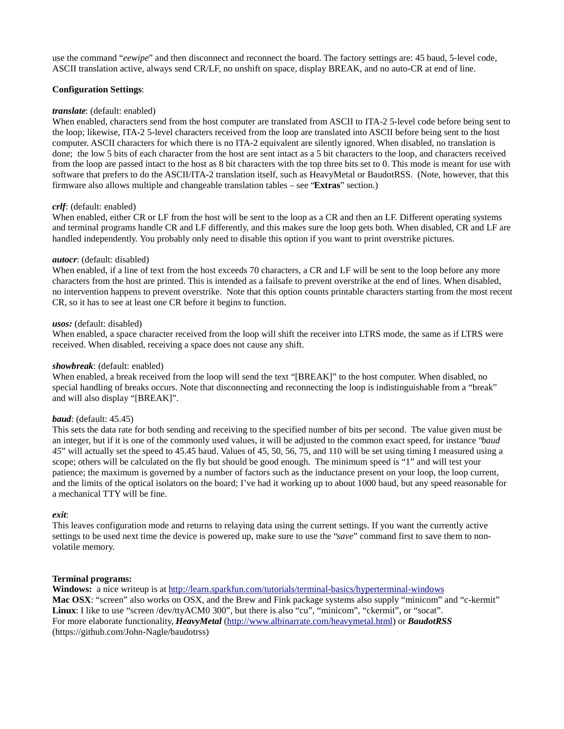use the command "*eewipe*" and then disconnect and reconnect the board. The factory settings are: 45 baud, 5-level code, ASCII translation active, always send CR/LF, no unshift on space, display BREAK, and no auto-CR at end of line.

# **Configuration Settings**:

#### *translate*: (default: enabled)

When enabled, characters send from the host computer are translated from ASCII to ITA-2 5-level code before being sent to the loop; likewise, ITA-2 5-level characters received from the loop are translated into ASCII before being sent to the host computer. ASCII characters for which there is no ITA-2 equivalent are silently ignored. When disabled, no translation is done; the low 5 bits of each character from the host are sent intact as a 5 bit characters to the loop, and characters received from the loop are passed intact to the host as 8 bit characters with the top three bits set to 0. This mode is meant for use with software that prefers to do the ASCII/ITA-2 translation itself, such as HeavyMetal or BaudotRSS. (Note, however, that this firmware also allows multiple and changeable translation tables – see "**Extras**" section.)

## *crlf*: (default: enabled)

When enabled, either CR or LF from the host will be sent to the loop as a CR and then an LF. Different operating systems and terminal programs handle CR and LF differently, and this makes sure the loop gets both. When disabled, CR and LF are handled independently. You probably only need to disable this option if you want to print overstrike pictures.

## *autocr*: (default: disabled)

When enabled, if a line of text from the host exceeds 70 characters, a CR and LF will be sent to the loop before any more characters from the host are printed. This is intended as a failsafe to prevent overstrike at the end of lines. When disabled, no intervention happens to prevent overstrike. Note that this option counts printable characters starting from the most recent CR, so it has to see at least one CR before it begins to function.

## *usos:* (default: disabled)

When enabled, a space character received from the loop will shift the receiver into LTRS mode, the same as if LTRS were received. When disabled, receiving a space does not cause any shift.

#### *showbreak*: (default: enabled)

When enabled, a break received from the loop will send the text "[BREAK]" to the host computer. When disabled, no special handling of breaks occurs. Note that disconnecting and reconnecting the loop is indistinguishable from a "break" and will also display "[BREAK]".

#### *baud*: (default: 45.45)

This sets the data rate for both sending and receiving to the specified number of bits per second. The value given must be an integer, but if it is one of the commonly used values, it will be adjusted to the common exact speed, for instance "*baud 45*" will actually set the speed to 45.45 baud. Values of 45, 50, 56, 75, and 110 will be set using timing I measured using a scope; others will be calculated on the fly but should be good enough. The minimum speed is "1" and will test your patience; the maximum is governed by a number of factors such as the inductance present on your loop, the loop current, and the limits of the optical isolators on the board; I've had it working up to about 1000 baud, but any speed reasonable for a mechanical TTY will be fine.

#### *exit*:

This leaves configuration mode and returns to relaying data using the current settings. If you want the currently active settings to be used next time the device is powered up, make sure to use the "*save*" command first to save them to nonvolatile memory.

#### **Terminal programs:**

**Windows:** a nice writeup is at http://learn.sparkfun.com/tutorials/terminal-basics/hyperterminal-windows **Mac OSX**: "screen" also works on OSX, and the Brew and Fink package systems also supply "minicom" and "c-kermit" **Linux**: I like to use "screen /dev/ttyACM0 300", but there is also "cu", "minicom", "ckermit", or "socat". For more elaborate functionality, *HeavyMetal* (http://www.albinarrate.com/heavymetal.html) or *BaudotRSS* (https://github.com/John-Nagle/baudotrss)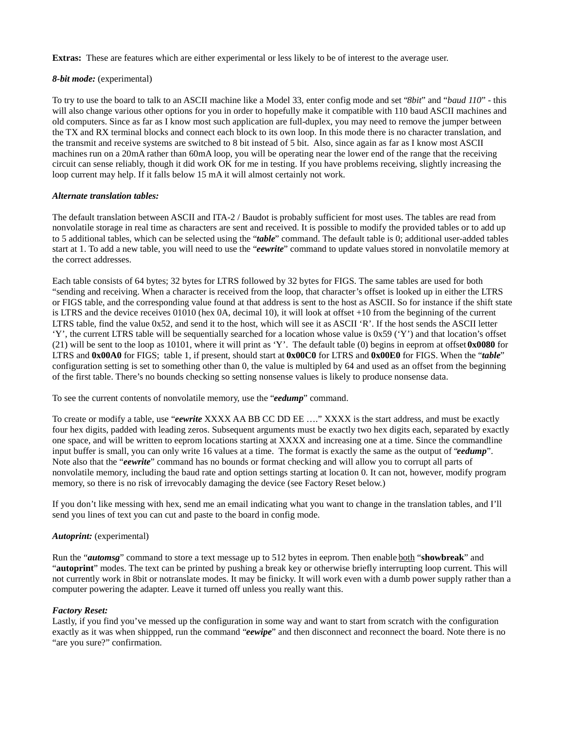**Extras:** These are features which are either experimental or less likely to be of interest to the average user.

# *8-bit mode:* (experimental)

To try to use the board to talk to an ASCII machine like a Model 33, enter config mode and set "*8bit*" and "*baud 110*" - this will also change various other options for you in order to hopefully make it compatible with 110 baud ASCII machines and old computers. Since as far as I know most such application are full-duplex, you may need to remove the jumper between the TX and RX terminal blocks and connect each block to its own loop. In this mode there is no character translation, and the transmit and receive systems are switched to 8 bit instead of 5 bit. Also, since again as far as I know most ASCII machines run on a 20mA rather than 60mA loop, you will be operating near the lower end of the range that the receiving circuit can sense reliably, though it did work OK for me in testing. If you have problems receiving, slightly increasing the loop current may help. If it falls below 15 mA it will almost certainly not work.

## *Alternate translation tables:*

The default translation between ASCII and ITA-2 / Baudot is probably sufficient for most uses. The tables are read from nonvolatile storage in real time as characters are sent and received. It is possible to modify the provided tables or to add up to 5 additional tables, which can be selected using the "*table*" command. The default table is 0; additional user-added tables start at 1. To add a new table, you will need to use the "*eewrite*" command to update values stored in nonvolatile memory at the correct addresses.

Each table consists of 64 bytes; 32 bytes for LTRS followed by 32 bytes for FIGS. The same tables are used for both "sending and receiving. When a character is received from the loop, that character's offset is looked up in either the LTRS or FIGS table, and the corresponding value found at that address is sent to the host as ASCII. So for instance if the shift state is LTRS and the device receives 01010 (hex 0A, decimal 10), it will look at offset +10 from the beginning of the current LTRS table, find the value 0x52, and send it to the host, which will see it as ASCII 'R'. If the host sends the ASCII letter 'Y', the current LTRS table will be sequentially searched for a location whose value is 0x59 ('Y') and that location's offset (21) will be sent to the loop as 10101, where it will print as 'Y'. The default table (0) begins in eeprom at offset **0x0080** for LTRS and **0x00A0** for FIGS; table 1, if present, should start at **0x00C0** for LTRS and **0x00E0** for FIGS. When the "*table*" configuration setting is set to something other than 0, the value is multipled by 64 and used as an offset from the beginning of the first table. There's no bounds checking so setting nonsense values is likely to produce nonsense data.

To see the current contents of nonvolatile memory, use the "*eedump*" command.

To create or modify a table, use "*eewrite* XXXX AA BB CC DD EE …." XXXX is the start address, and must be exactly four hex digits, padded with leading zeros. Subsequent arguments must be exactly two hex digits each, separated by exactly one space, and will be written to eeprom locations starting at XXXX and increasing one at a time. Since the commandline input buffer is small, you can only write 16 values at a time. The format is exactly the same as the output of "*eedump*". Note also that the "*eewrite*" command has no bounds or format checking and will allow you to corrupt all parts of nonvolatile memory, including the baud rate and option settings starting at location 0. It can not, however, modify program memory, so there is no risk of irrevocably damaging the device (see Factory Reset below.)

If you don't like messing with hex, send me an email indicating what you want to change in the translation tables, and I'll send you lines of text you can cut and paste to the board in config mode.

# *Autoprint:* (experimental)

Run the "*automsg*" command to store a text message up to 512 bytes in eeprom. Then enable both "**showbreak**" and "**autoprint**" modes. The text can be printed by pushing a break key or otherwise briefly interrupting loop current. This will not currently work in 8bit or notranslate modes. It may be finicky. It will work even with a dumb power supply rather than a computer powering the adapter. Leave it turned off unless you really want this.

# *Factory Reset:*

Lastly, if you find you've messed up the configuration in some way and want to start from scratch with the configuration exactly as it was when shippped, run the command "*eewipe*" and then disconnect and reconnect the board. Note there is no "are you sure?" confirmation.